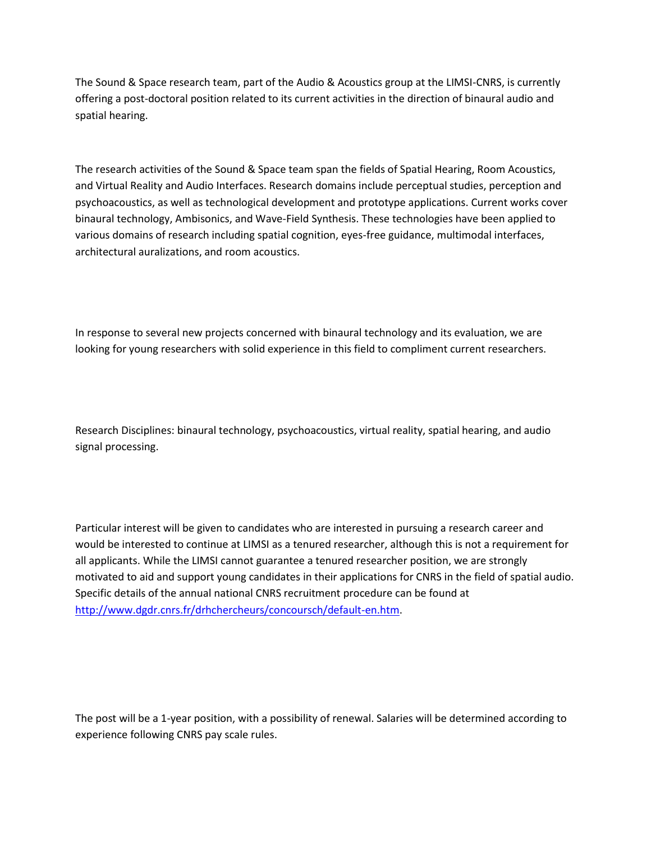The Sound & Space research team, part of the Audio & Acoustics group at the LIMSI-CNRS, is currently offering a post-doctoral position related to its current activities in the direction of binaural audio and spatial hearing.

The research activities of the Sound & Space team span the fields of Spatial Hearing, Room Acoustics, and Virtual Reality and Audio Interfaces. Research domains include perceptual studies, perception and psychoacoustics, as well as technological development and prototype applications. Current works cover binaural technology, Ambisonics, and Wave-Field Synthesis. These technologies have been applied to various domains of research including spatial cognition, eyes-free guidance, multimodal interfaces, architectural auralizations, and room acoustics.

In response to several new projects concerned with binaural technology and its evaluation, we are looking for young researchers with solid experience in this field to compliment current researchers.

Research Disciplines: binaural technology, psychoacoustics, virtual reality, spatial hearing, and audio signal processing.

Particular interest will be given to candidates who are interested in pursuing a research career and would be interested to continue at LIMSI as a tenured researcher, although this is not a requirement for all applicants. While the LIMSI cannot guarantee a tenured researcher position, we are strongly motivated to aid and support young candidates in their applications for CNRS in the field of spatial audio. Specific details of the annual national CNRS recruitment procedure can be found at [http://www.dgdr.cnrs.fr/drhchercheurs/concoursch/default-en.htm.](http://www.dgdr.cnrs.fr/drhchercheurs/concoursch/default-en.htm)

The post will be a 1-year position, with a possibility of renewal. Salaries will be determined according to experience following CNRS pay scale rules.